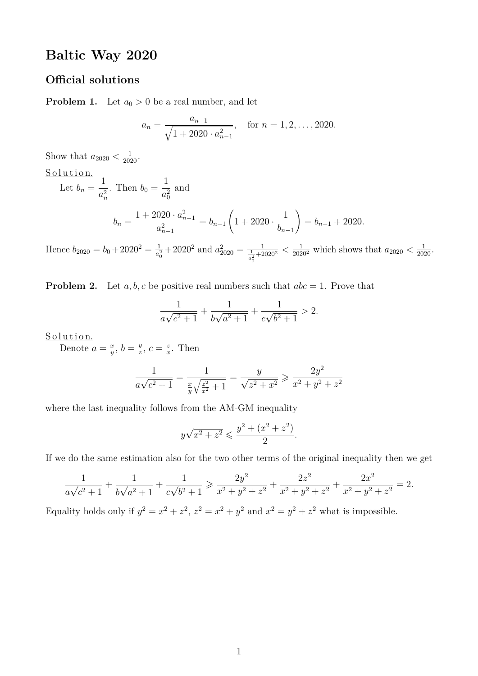# **Baltic Way 2020**

# **Official solutions**

**Problem 1.** Let  $a_0 > 0$  be a real number, and let

$$
a_n = \frac{a_{n-1}}{\sqrt{1 + 2020 \cdot a_{n-1}^2}}, \quad \text{for } n = 1, 2, \dots, 2020.
$$

Show that  $a_{2020} < \frac{1}{2020}$ .

Solution.  
\nLet 
$$
b_n = \frac{1}{a_n^2}
$$
. Then  $b_0 = \frac{1}{a_0^2}$  and  
\n
$$
b_n = \frac{1 + 2020 \cdot a_{n-1}^2}{a_{n-1}^2} = b_{n-1} \left( 1 + 2020 \cdot \frac{1}{b_{n-1}} \right) = b_{n-1} + 2020.
$$

Hence  $b_{2020} = b_0 + 2020^2 = \frac{1}{a^2}$  $\frac{1}{a_0^2} + 2020^2$  and  $a_{2020}^2 = \frac{1}{\frac{1}{a_0^2} + 2020^2} < \frac{1}{2020^2}$  which shows that  $a_{2020} < \frac{1}{2020}$ .

**Problem 2.** Let *a, b, c* be positive real numbers such that  $abc = 1$ . Prove that

$$
\frac{1}{a\sqrt{c^2+1}} + \frac{1}{b\sqrt{a^2+1}} + \frac{1}{c\sqrt{b^2+1}} > 2.
$$

<u>Solution.</u>

Denote  $a = \frac{x}{y}$  $\frac{x}{y}$ ,  $b = \frac{y}{z}$  $\frac{y}{z}$ ,  $c = \frac{z}{x}$  $\frac{z}{x}$ . Then

$$
\frac{1}{a\sqrt{c^2+1}} = \frac{1}{\frac{x}{y}\sqrt{\frac{z^2}{x^2}+1}} = \frac{y}{\sqrt{z^2+x^2}} \ge \frac{2y^2}{x^2+y^2+z^2}
$$

where the last inequality follows from the AM-GM inequality

$$
y\sqrt{x^2 + z^2} \leqslant \frac{y^2 + (x^2 + z^2)}{2}
$$

*.*

If we do the same estimation also for the two other terms of the original inequality then we get

$$
\frac{1}{a\sqrt{c^2+1}} + \frac{1}{b\sqrt{a^2+1}} + \frac{1}{c\sqrt{b^2+1}} \ge \frac{2y^2}{x^2+y^2+z^2} + \frac{2z^2}{x^2+y^2+z^2} + \frac{2x^2}{x^2+y^2+z^2} = 2.
$$

Equality holds only if  $y^2 = x^2 + z^2$ ,  $z^2 = x^2 + y^2$  and  $x^2 = y^2 + z^2$  what is impossible.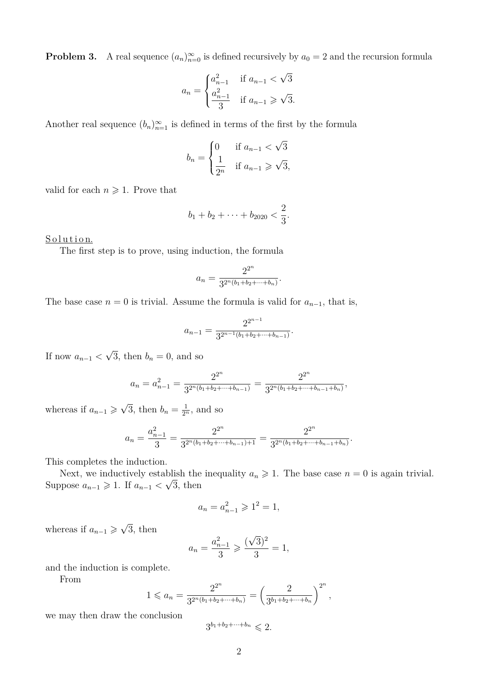**Problem 3.** A real sequence  $(a_n)_{n=0}^{\infty}$  is defined recursively by  $a_0 = 2$  and the recursion formula

$$
a_n = \begin{cases} a_{n-1}^2 & \text{if } a_{n-1} < \sqrt{3} \\ \frac{a_{n-1}^2}{3} & \text{if } a_{n-1} \geq \sqrt{3}. \end{cases}
$$

Another real sequence  $(b_n)_{n=1}^{\infty}$  is defined in terms of the first by the formula

$$
b_n = \begin{cases} 0 & \text{if } a_{n-1} < \sqrt{3} \\ \frac{1}{2^n} & \text{if } a_{n-1} \geqslant \sqrt{3}, \end{cases}
$$

valid for each  $n \geqslant 1$ . Prove that

$$
b_1 + b_2 + \cdots + b_{2020} < \frac{2}{3}.
$$

Solution.

The first step is to prove, using induction, the formula

$$
a_n = \frac{2^{2^n}}{3^{2^n(b_1+b_2+\cdots+b_n)}}.
$$

The base case  $n = 0$  is trivial. Assume the formula is valid for  $a_{n-1}$ , that is,

$$
a_{n-1} = \frac{2^{2^{n-1}}}{3^{2^{n-1}(b_1 + b_2 + \dots + b_{n-1})}}.
$$

If now  $a_{n-1}$  < √ 3, then  $b_n = 0$ , and so

$$
a_n = a_{n-1}^2 = \frac{2^{2^n}}{3^{2^n(b_1+b_2+\cdots+b_{n-1})}} = \frac{2^{2^n}}{3^{2^n(b_1+b_2+\cdots+b_{n-1}+b_n)}},
$$

whereas if  $a_{n-1} \geqslant \sqrt{2}$  $\overline{3}$ , then  $b_n = \frac{1}{2^n}$ , and so

$$
a_n = \frac{a_{n-1}^2}{3} = \frac{2^{2^n}}{3^{2^n(b_1+b_2+\cdots+b_{n-1})+1}} = \frac{2^{2^n}}{3^{2^n(b_1+b_2+\cdots+b_{n-1}+b_n)}}.
$$

This completes the induction.

Next, we inductively establish the inequality  $a_n \geq 1$ . The base case  $n = 0$  is again trivial. Suppose  $a_{n-1} \geq 1$ . If  $a_{n-1} < \sqrt{n}$ 3, then

$$
a_n = a_{n-1}^2 \ge 1^2 = 1,
$$

whereas if  $a_{n-1} \geqslant \sqrt{2}$ 3, then

$$
a_n = \frac{a_{n-1}^2}{3} \geqslant \frac{(\sqrt{3})^2}{3} = 1,
$$

and the induction is complete.

From

$$
1 \leqslant a_n = \frac{2^{2^n}}{3^{2^n(b_1+b_2+\cdots+b_n)}} = \left(\frac{2}{3^{b_1+b_2+\cdots+b_n}}\right)^{2^n},
$$

we may then draw the conclusion

$$
3^{b_1+b_2+\cdots+b_n}\leqslant 2.
$$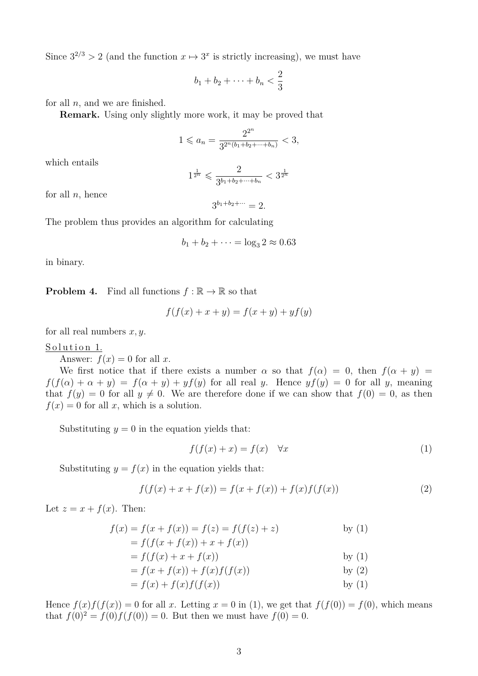Since  $3^{2/3} > 2$  (and the function  $x \mapsto 3^x$  is strictly increasing), we must have

$$
b_1+b_2+\cdots+b_n<\frac{2}{3}
$$

for all *n*, and we are finished.

**Remark.** Using only slightly more work, it may be proved that

$$
1 \leqslant a_n = \frac{2^{2^n}}{3^{2^n(b_1+b_2+\cdots+b_n)}} < 3,
$$

which entails

$$
1^{\frac{1}{2^n}} \leqslant \frac{2}{3^{b_1+b_2+\cdots+b_n}} < 3^{\frac{1}{2^n}}
$$

for all *n*, hence

 $3^{b_1+b_2+\cdots} = 2.$ 

The problem thus provides an algorithm for calculating

$$
b_1 + b_2 + \dots = \log_3 2 \approx 0.63
$$

in binary.

**Problem 4.** Find all functions  $f : \mathbb{R} \to \mathbb{R}$  so that

$$
f(f(x) + x + y) = f(x + y) + yf(y)
$$

for all real numbers *x, y*.

#### Solution 1.

Answer:  $f(x) = 0$  for all x.

We first notice that if there exists a number  $\alpha$  so that  $f(\alpha) = 0$ , then  $f(\alpha + y) =$  $f(f(\alpha) + \alpha + y) = f(\alpha + y) + yf(y)$  for all real *y*. Hence  $yf(y) = 0$  for all *y*, meaning that  $f(y) = 0$  for all  $y \neq 0$ . We are therefore done if we can show that  $f(0) = 0$ , as then  $f(x) = 0$  for all *x*, which is a solution.

Substituting  $y = 0$  in the equation yields that:

$$
f(f(x) + x) = f(x) \quad \forall x \tag{1}
$$

Substituting  $y = f(x)$  in the equation yields that:

$$
f(f(x) + x + f(x)) = f(x + f(x)) + f(x)f(f(x))
$$
\n(2)

Let  $z = x + f(x)$ . Then:

$$
f(x) = f(x + f(x)) = f(z) = f(f(z) + z)
$$
 by (1)  
\n
$$
= f(f(x + f(x)) + x + f(x))
$$
 by (1)  
\n
$$
= f(f(x) + x + f(x))
$$
 by (1)  
\n
$$
= f(x + f(x)) + f(x)f(f(x))
$$
 by (2)  
\n
$$
= f(x) + f(x)f(f(x))
$$
 by (1)

Hence  $f(x)f(f(x)) = 0$  for all *x*. Letting  $x = 0$  in (1), we get that  $f(f(0)) = f(0)$ , which means that  $f(0)^2 = f(0)f(f(0)) = 0$ . But then we must have  $f(0) = 0$ .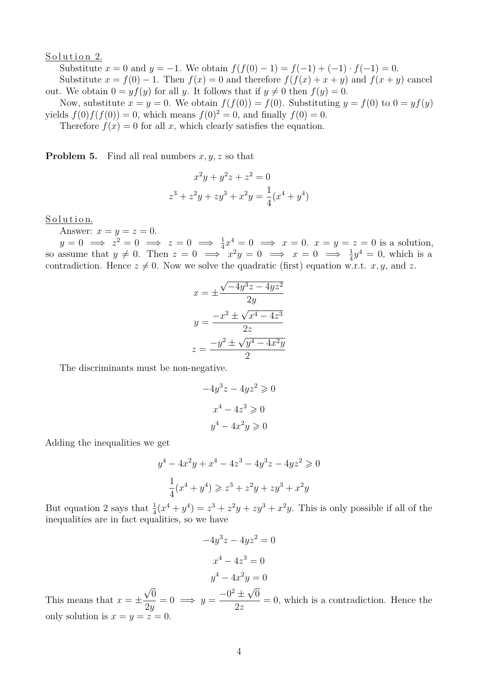#### Solution 2.

Substitute  $x = 0$  and  $y = -1$ . We obtain  $f(f(0) - 1) = f(-1) + (-1) \cdot f(-1) = 0$ . Substitute  $x = f(0) - 1$ . Then  $f(x) = 0$  and therefore  $f(f(x) + x + y)$  and  $f(x + y)$  cancel out. We obtain  $0 = yf(y)$  for all *y*. It follows that if  $y \neq 0$  then  $f(y) = 0$ .

Now, substitute  $x = y = 0$ . We obtain  $f(f(0)) = f(0)$ . Substituting  $y = f(0)$  to  $0 = yf(y)$ yields  $f(0)f(f(0)) = 0$ , which means  $f(0)^2 = 0$ , and finally  $f(0) = 0$ .

Therefore  $f(x) = 0$  for all x, which clearly satisfies the equation.

**Problem 5.** Find all real numbers *x, y, z* so that

$$
x^{2}y + y^{2}z + z^{2} = 0
$$
  

$$
z^{3} + z^{2}y + zy^{3} + x^{2}y = \frac{1}{4}(x^{4} + y^{4})
$$

#### Solution.

Answer:  $x = y = z = 0$ .

 $y = 0 \implies z^2 = 0 \implies z = 0 \implies \frac{1}{4}x^4 = 0 \implies x = 0.$   $x = y = z = 0$  is a solution, so assume that  $y \neq 0$ . Then  $z = 0 \implies x^2y = 0 \implies x = 0 \implies \frac{1}{4}y^4 = 0$ , which is a contradiction. Hence  $z \neq 0$ . Now we solve the quadratic (first) equation w.r.t. *x, y,* and *z*.

$$
x = \pm \frac{\sqrt{-4y^3z - 4yz^2}}{2y}
$$

$$
y = \frac{-x^2 \pm \sqrt{x^4 - 4z^3}}{2z}
$$

$$
z = \frac{-y^2 \pm \sqrt{y^4 - 4x^2y}}{2}
$$

The discriminants must be non-negative.

$$
-4y3z - 4yz2 \ge 0
$$

$$
x4 - 4z3 \ge 0
$$

$$
y4 - 4x2y \ge 0
$$

Adding the inequalities we get

$$
y^{4} - 4x^{2}y + x^{4} - 4z^{3} - 4y^{3}z - 4yz^{2} \ge 0
$$
  

$$
\frac{1}{4}(x^{4} + y^{4}) \ge z^{3} + z^{2}y + zy^{3} + x^{2}y
$$

But equation 2 says that  $\frac{1}{4}(x^4 + y^4) = z^3 + z^2y + zy^3 + x^2y$ . This is only possible if all of the inequalities are in fact equalities, so we have

$$
-4y3z - 4yz2 = 0
$$

$$
x4 - 4z3 = 0
$$

$$
y4 - 4x2y = 0
$$

This means that  $x = \pm$ √  $\overline{0}$ 2*y*  $= 0 \implies y =$  $-0^2$   $\pm$  $\overline{0}$ 2*z*  $= 0$ , which is a contradiction. Hence the only solution is  $x = y = z = 0$ .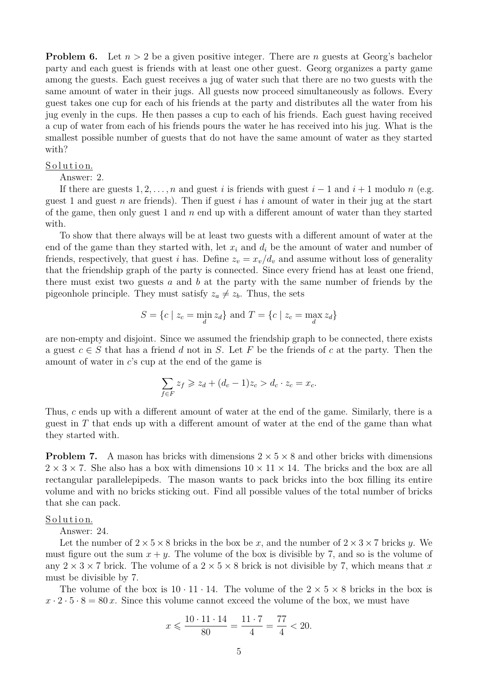**Problem 6.** Let  $n > 2$  be a given positive integer. There are *n* guests at Georg's bachelor party and each guest is friends with at least one other guest. Georg organizes a party game among the guests. Each guest receives a jug of water such that there are no two guests with the same amount of water in their jugs. All guests now proceed simultaneously as follows. Every guest takes one cup for each of his friends at the party and distributes all the water from his jug evenly in the cups. He then passes a cup to each of his friends. Each guest having received a cup of water from each of his friends pours the water he has received into his jug. What is the smallest possible number of guests that do not have the same amount of water as they started with?

#### Solution.

Answer: 2.

If there are guests  $1, 2, \ldots, n$  and guest *i* is friends with guest  $i-1$  and  $i+1$  modulo *n* (e.g. guest 1 and guest *n* are friends). Then if guest *i* has *i* amount of water in their jug at the start of the game, then only guest 1 and *n* end up with a different amount of water than they started with.

To show that there always will be at least two guests with a different amount of water at the end of the game than they started with, let  $x_i$  and  $d_i$  be the amount of water and number of friends, respectively, that guest *i* has. Define  $z_v = x_v/d_v$  and assume without loss of generality that the friendship graph of the party is connected. Since every friend has at least one friend, there must exist two guests *a* and *b* at the party with the same number of friends by the pigeonhole principle. They must satisfy  $z_a \neq z_b$ . Thus, the sets

$$
S = \{c \mid z_c = \min_d z_d\} \text{ and } T = \{c \mid z_c = \max_d z_d\}
$$

are non-empty and disjoint. Since we assumed the friendship graph to be connected, there exists a guest  $c \in S$  that has a friend *d* not in *S*. Let *F* be the friends of *c* at the party. Then the amount of water in *c*'s cup at the end of the game is

$$
\sum_{f \in F} z_f \geq z_d + (d_c - 1)z_c > d_c \cdot z_c = x_c.
$$

Thus, *c* ends up with a different amount of water at the end of the game. Similarly, there is a guest in *T* that ends up with a different amount of water at the end of the game than what they started with.

**Problem 7.** A mason has bricks with dimensions  $2 \times 5 \times 8$  and other bricks with dimensions  $2 \times 3 \times 7$ . She also has a box with dimensions  $10 \times 11 \times 14$ . The bricks and the box are all rectangular parallelepipeds. The mason wants to pack bricks into the box filling its entire volume and with no bricks sticking out. Find all possible values of the total number of bricks that she can pack.

#### Solution.

Answer: 24.

Let the number of  $2 \times 5 \times 8$  bricks in the box be x, and the number of  $2 \times 3 \times 7$  bricks y. must figure out the sum  $x + y$ . The volume of the box is divisible by 7, and so is the volume of any  $2 \times 3 \times 7$  brick. The volume of a  $2 \times 5 \times 8$  brick is not divisible by 7, which means that x must be divisible by 7.

The volume of the box is  $10 \cdot 11 \cdot 14$ . The volume of the  $2 \times 5 \times 8$  bricks in the box is  $x \cdot 2 \cdot 5 \cdot 8 = 80 x$ . Since this volume cannot exceed the volume of the box, we must have

$$
x \leqslant \frac{10 \cdot 11 \cdot 14}{80} = \frac{11 \cdot 7}{4} = \frac{77}{4} < 20.
$$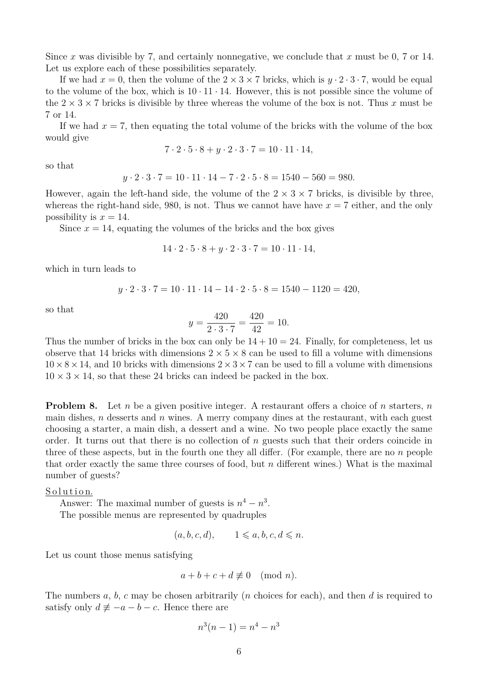Since *x* was divisible by 7, and certainly nonnegative, we conclude that *x* must be 0, 7 or 14. Let us explore each of these possibilities separately.

If we had  $x = 0$ , then the volume of the  $2 \times 3 \times 7$  bricks, which is  $y \cdot 2 \cdot 3 \cdot 7$ , would be equal to the volume of the box, which is  $10 \cdot 11 \cdot 14$ . However, this is not possible since the volume of the  $2 \times 3 \times 7$  bricks is divisible by three whereas the volume of the box is not. Thus x must be 7 or 14.

If we had  $x = 7$ , then equating the total volume of the bricks with the volume of the box would give

$$
7 \cdot 2 \cdot 5 \cdot 8 + y \cdot 2 \cdot 3 \cdot 7 = 10 \cdot 11 \cdot 14,
$$

so that

$$
y \cdot 2 \cdot 3 \cdot 7 = 10 \cdot 11 \cdot 14 - 7 \cdot 2 \cdot 5 \cdot 8 = 1540 - 560 = 980.
$$

However, again the left-hand side, the volume of the  $2 \times 3 \times 7$  bricks, is divisible by three, whereas the right-hand side, 980, is not. Thus we cannot have have  $x = 7$  either, and the only possibility is  $x = 14$ .

Since  $x = 14$ , equating the volumes of the bricks and the box gives

$$
14 \cdot 2 \cdot 5 \cdot 8 + y \cdot 2 \cdot 3 \cdot 7 = 10 \cdot 11 \cdot 14,
$$

which in turn leads to

$$
y \cdot 2 \cdot 3 \cdot 7 = 10 \cdot 11 \cdot 14 - 14 \cdot 2 \cdot 5 \cdot 8 = 1540 - 1120 = 420,
$$

so that

$$
y = \frac{420}{2 \cdot 3 \cdot 7} = \frac{420}{42} = 10.
$$

Thus the number of bricks in the box can only be  $14 + 10 = 24$ . Finally, for completeness, let us observe that 14 bricks with dimensions  $2 \times 5 \times 8$  can be used to fill a volume with dimensions  $10\times8\times14$ , and 10 bricks with dimensions  $2\times3\times7$  can be used to fill a volume with dimensions  $10 \times 3 \times 14$ , so that these 24 bricks can indeed be packed in the box.

**Problem 8.** Let *n* be a given positive integer. A restaurant offers a choice of *n* starters, *n* main dishes, *n* desserts and *n* wines. A merry company dines at the restaurant, with each guest choosing a starter, a main dish, a dessert and a wine. No two people place exactly the same order. It turns out that there is no collection of *n* guests such that their orders coincide in three of these aspects, but in the fourth one they all differ. (For example, there are no *n* people that order exactly the same three courses of food, but *n* different wines.) What is the maximal number of guests?

Solution.

Answer: The maximal number of guests is  $n^4 - n^3$ .

The possible menus are represented by quadruples

$$
(a, b, c, d), \qquad 1 \leqslant a, b, c, d \leqslant n.
$$

Let us count those menus satisfying

$$
a+b+c+d \not\equiv 0 \pmod{n}.
$$

The numbers *a*, *b*, *c* may be chosen arbitrarily (*n* choices for each), and then *d* is required to satisfy only  $d \neq -a - b - c$ . Hence there are

$$
n^3(n-1) = n^4 - n^3
$$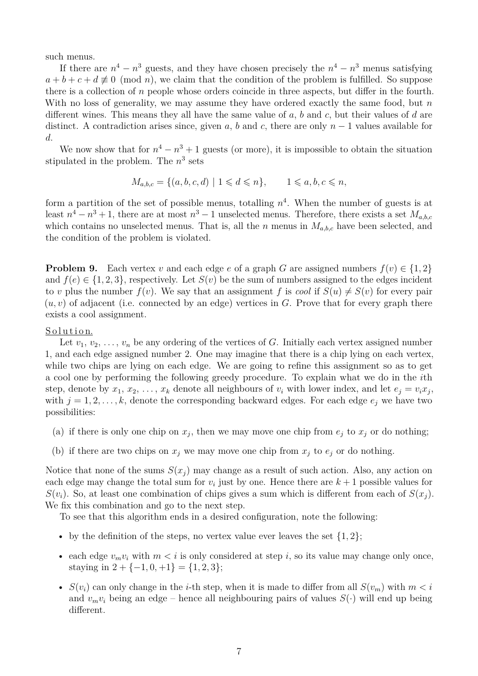such menus.

If there are  $n^4 - n^3$  guests, and they have chosen precisely the  $n^4 - n^3$  menus satisfying  $a + b + c + d \not\equiv 0 \pmod{n}$ , we claim that the condition of the problem is fulfilled. So suppose there is a collection of *n* people whose orders coincide in three aspects, but differ in the fourth. With no loss of generality, we may assume they have ordered exactly the same food, but *n* different wines. This means they all have the same value of *a*, *b* and *c*, but their values of *d* are distinct. A contradiction arises since, given *a*, *b* and *c*, there are only  $n-1$  values available for *d*.

We now show that for  $n^4 - n^3 + 1$  guests (or more), it is impossible to obtain the situation stipulated in the problem. The  $n^3$  sets

$$
M_{a,b,c} = \{(a,b,c,d) \mid 1 \leqslant d \leqslant n\}, \qquad 1 \leqslant a,b,c \leqslant n,
$$

form a partition of the set of possible menus, totalling *n* 4 . When the number of guests is at least  $n^4 - n^3 + 1$ , there are at most  $n^3 - 1$  unselected menus. Therefore, there exists a set  $M_{a,b,c}$ which contains no unselected menus. That is, all the *n* menus in  $M_{a,b,c}$  have been selected, and the condition of the problem is violated.

**Problem 9.** Each vertex *v* and each edge *e* of a graph *G* are assigned numbers  $f(v) \in \{1, 2\}$ and  $f(e) \in \{1, 2, 3\}$ , respectively. Let  $S(v)$  be the sum of numbers assigned to the edges incident to *v* plus the number  $f(v)$ . We say that an assignment f is cool if  $S(u) \neq S(v)$  for every pair  $(u, v)$  of adjacent (i.e. connected by an edge) vertices in *G*. Prove that for every graph there exists a cool assignment.

#### Solution.

Let  $v_1, v_2, \ldots, v_n$  be any ordering of the vertices of *G*. Initially each vertex assigned number 1, and each edge assigned number 2. One may imagine that there is a chip lying on each vertex, while two chips are lying on each edge. We are going to refine this assignment so as to get a cool one by performing the following greedy procedure. To explain what we do in the *i*th step, denote by  $x_1, x_2, \ldots, x_k$  denote all neighbours of  $v_i$  with lower index, and let  $e_j = v_i x_j$ , with  $j = 1, 2, \ldots, k$ , denote the corresponding backward edges. For each edge  $e_j$  we have two possibilities:

- (a) if there is only one chip on  $x_j$ , then we may move one chip from  $e_j$  to  $x_j$  or do nothing;
- (b) if there are two chips on  $x_j$  we may move one chip from  $x_j$  to  $e_j$  or do nothing.

Notice that none of the sums  $S(x_i)$  may change as a result of such action. Also, any action on each edge may change the total sum for  $v_i$  just by one. Hence there are  $k+1$  possible values for  $S(v_i)$ . So, at least one combination of chips gives a sum which is different from each of  $S(x_i)$ . We fix this combination and go to the next step.

To see that this algorithm ends in a desired configuration, note the following:

- by the definition of the steps, no vertex value ever leaves the set  $\{1, 2\}$ ;
- each edge  $v_m v_i$  with  $m < i$  is only considered at step *i*, so its value may change only once, staying in  $2 + \{-1, 0, +1\} = \{1, 2, 3\};$
- *S*( $v_i$ ) can only change in the *i*-th step, when it is made to differ from all  $S(v_m)$  with  $m < i$ and  $v_m v_i$  being an edge – hence all neighbouring pairs of values  $S(\cdot)$  will end up being different.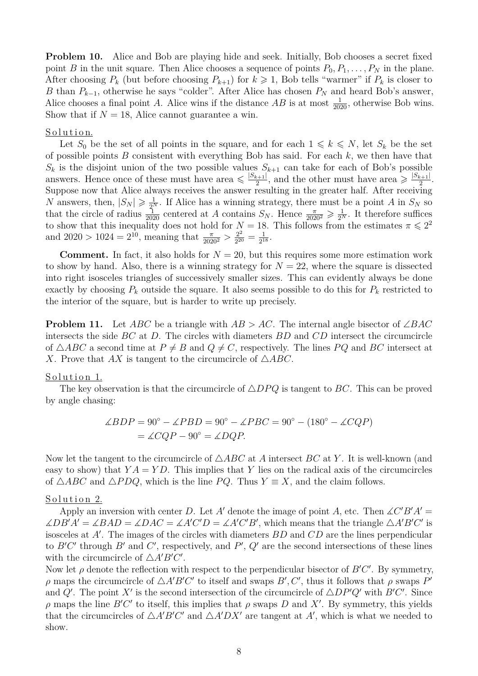**Problem 10.** Alice and Bob are playing hide and seek. Initially, Bob chooses a secret fixed point *B* in the unit square. Then Alice chooses a sequence of points  $P_0, P_1, \ldots, P_N$  in the plane. After choosing  $P_k$  (but before choosing  $P_{k+1}$ ) for  $k \geq 1$ , Bob tells "warmer" if  $P_k$  is closer to *B* than  $P_{k-1}$ , otherwise he says "colder". After Alice has chosen  $P_N$  and heard Bob's answer, Alice chooses a final point *A*. Alice wins if the distance *AB* is at most  $\frac{1}{2020}$ , otherwise Bob wins. Show that if  $N = 18$ , Alice cannot guarantee a win.

#### Solution.

Let  $S_0$  be the set of all points in the square, and for each  $1 \leq k \leq N$ , let  $S_k$  be the set of possible points *B* consistent with everything Bob has said. For each *k*, we then have that  $S_k$  is the disjoint union of the two possible values  $S_{k+1}$  can take for each of Bob's possible answers. Hence once of these must have area  $\leq \frac{|S_{k+1}|}{2}$  $\frac{1}{2}$ , and the other must have area  $\geqslant \frac{|S_{k+1}|}{2}$  $\frac{k+1}{2}$ . Suppose now that Alice always receives the answer resulting in the greater half. After receiving *N* answers, then,  $|S_N| \geq \frac{1}{2^N}$ . If Alice has a winning strategy, there must be a point *A* in  $S_N$  so that the circle of radius  $\frac{1}{2020}$  centered at *A* contains  $S_N$ . Hence  $\frac{\pi}{2020^2} \geq \frac{1}{2^N}$ . It therefore suffices to show that this inequality does not hold for  $N = 18$ . This follows from the estimates  $\pi \leq 2^2$ and  $2020 > 1024 = 2^{10}$ , meaning that  $\frac{\pi}{2020^2} > \frac{2^2}{2^{20}}$  $\frac{2^2}{2^{20}} = \frac{1}{2^1}$  $\frac{1}{2^{18}}.$ 

**Comment.** In fact, it also holds for  $N = 20$ , but this requires some more estimation work to show by hand. Also, there is a winning strategy for  $N = 22$ , where the square is dissected into right isosceles triangles of successively smaller sizes. This can evidently always be done exactly by choosing  $P_k$  outside the square. It also seems possible to do this for  $P_k$  restricted to the interior of the square, but is harder to write up precisely.

**Problem 11.** Let *ABC* be a triangle with *AB > AC*. The internal angle bisector of ∠*BAC* intersects the side *BC* at *D*. The circles with diameters *BD* and *CD* intersect the circumcircle of  $\triangle ABC$  a second time at  $P \neq B$  and  $Q \neq C$ , respectively. The lines PQ and BC intersect at *X*. Prove that *AX* is tangent to the circumcircle of  $\triangle ABC$ .

#### Solution 1.

The key observation is that the circumcircle of  $\triangle DPQ$  is tangent to *BC*. This can be proved by angle chasing:

$$
\angle BDP = 90^{\circ} - \angle PBD = 90^{\circ} - \angle PBC = 90^{\circ} - (180^{\circ} - \angle CQP)
$$

$$
= \angle CQP - 90^{\circ} = \angle DQP.
$$

Now let the tangent to the circumcircle of  $\triangle ABC$  at *A* intersect *BC* at *Y*. It is well-known (and easy to show) that  $YA = YD$ . This implies that Y lies on the radical axis of the circumcircles of  $\triangle ABC$  and  $\triangle PDQ$ , which is the line *PQ*. Thus  $Y \equiv X$ , and the claim follows.

#### Solution 2.

Apply an inversion with center *D*. Let *A'* denote the image of point *A*, etc. Then  $\angle C'B'A' =$  $\angle DB'A' = \angle BAD = \angle DAC = \angle A'C'D = \angle A'C'B'$ , which means that the triangle  $\triangle A'B'C'$  is isosceles at A'. The images of the circles with diameters  $BD$  and  $CD$  are the lines perpendicular to  $B'C'$  through  $B'$  and  $C'$ , respectively, and  $P'$ ,  $Q'$  are the second intersections of these lines with the circumcircle of  $\triangle A'B'C'$ .

Now let  $\rho$  denote the reflection with respect to the perpendicular bisector of  $B'C'$ . By symmetry, *ρ* maps the circumcircle of  $\triangle A'B'C'$  to itself and swaps  $B', C'$ , thus it follows that *ρ* swaps  $P'$ and *Q*<sup> $\prime$ </sup>. The point *X*<sup> $\prime$ </sup> is the second intersection of the circumcircle of  $\triangle DP'Q'$  with *B<sup>* $\prime$ *</sup>C*<sup> $\prime$ </sup>. Since *ρ* maps the line *B*<sup> $\prime$ </sup>*C*<sup> $\prime$ </sup> to itself, this implies that *ρ* swaps *D* and *X*<sup> $\prime$ </sup>. By symmetry, this yields that the circumcircles of  $\triangle A'B'C'$  and  $\triangle A'DX'$  are tangent at *A'*, which is what we needed to show.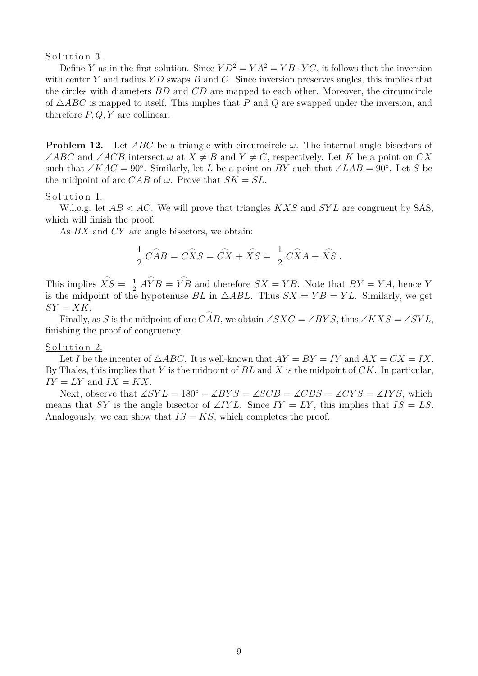#### Solution 3.

Define *Y* as in the first solution. Since  $YD^2 = YA^2 = YB \cdot YC$ , it follows that the inversion with center *Y* and radius *Y D* swaps *B* and *C*. Since inversion preserves angles, this implies that the circles with diameters *BD* and *CD* are mapped to each other. Moreover, the circumcircle of  $\triangle ABC$  is mapped to itself. This implies that *P* and *Q* are swapped under the inversion, and therefore *P, Q, Y* are collinear.

**Problem 12.** Let *ABC* be a triangle with circumcircle *ω*. The internal angle bisectors of ∠*ABC* and ∠*ACB* intersect  $\omega$  at  $X \neq B$  and  $Y \neq C$ , respectively. Let *K* be a point on *CX* such that ∠*KAC* = 90°. Similarly, let *L* be a point on *BY* such that ∠*LAB* = 90°. Let *S* be the midpoint of arc *CAB* of  $\omega$ . Prove that  $SK = SL$ .

#### Solution 1.

W.l.o.g. let *AB < AC*. We will prove that triangles *KXS* and *SY L* are congruent by SAS, which will finish the proof.

As *BX* and *CY* are angle bisectors, we obtain:

$$
\frac{1}{2} \widehat{CAB} = \widehat{C}\widehat{X}S = \widehat{CX} + \widehat{XS} = \frac{1}{2} \widehat{C}\widehat{X}A + \widehat{XS}.
$$

This implies  $\widehat{XS} = \frac{1}{2}$ 2  $\widehat{AYB} = \widehat{YB}$  and therefore  $SX = YB$ . Note that  $BY = YA$ , hence *Y* is the midpoint of the hypotenuse *BL* in  $\triangle ABL$ . Thus  $SX = YB = YL$ . Similarly, we get  $SY = XK$ .

Finally, as *S* is the midpoint of arc  $\widehat{CAB}$ , we obtain ∠*SXC* = ∠*BYS*, thus ∠*KXS* = ∠*SYL*, finishing the proof of congruency.

#### Solution 2.

Let *I* be the incenter of  $\triangle ABC$ . It is well-known that  $AY = BY = IY$  and  $AX = CX = IX$ . By Thales, this implies that *Y* is the midpoint of *BL* and *X* is the midpoint of *CK*. In particular,  $IY = LY$  and  $IX = KX$ .

Next, observe that  $\angle SYL = 180^\circ - \angle BYS = \angle SCB = \angle CBS = \angle CYS = \angle IYS$ , which means that *SY* is the angle bisector of ∠*IYL*. Since  $IY = LY$ , this implies that  $IS = LS$ . Analogously, we can show that  $IS = KS$ , which completes the proof.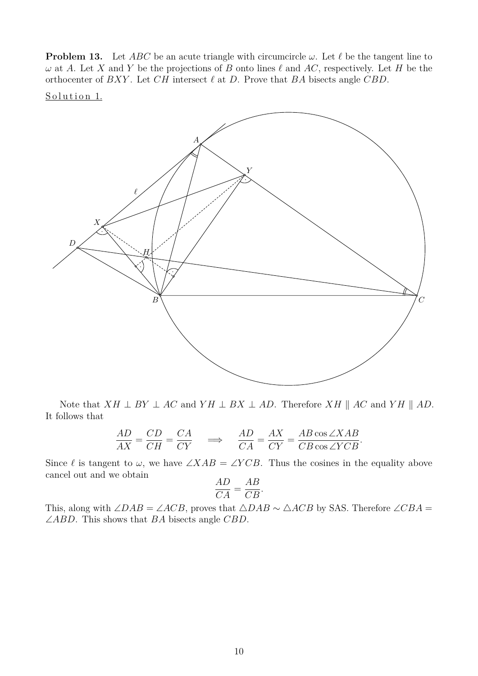**Problem 13.** Let *ABC* be an acute triangle with circumcircle  $\omega$ . Let  $\ell$  be the tangent line to  $\omega$  at *A*. Let *X* and *Y* be the projections of *B* onto lines  $\ell$  and *AC*, respectively. Let *H* be the orthocenter of  $BXY$ . Let  $CH$  intersect  $\ell$  at  $D$ . Prove that  $BA$  bisects angle  $CBD$ .

Solution 1.



Note that  $XH \perp BY \perp AC$  and  $YH \perp BX \perp AD$ . Therefore  $XH \parallel AC$  and  $YH \parallel AD$ . It follows that

$$
\frac{AD}{AX} = \frac{CD}{CH} = \frac{CA}{CY} \quad \implies \quad \frac{AD}{CA} = \frac{AX}{CY} = \frac{AB\cos\angle XAB}{CB\cos\angle YCB}.
$$

Since  $\ell$  is tangent to  $\omega$ , we have ∠*XAB* = ∠*YCB*. Thus the cosines in the equality above cancel out and we obtain

$$
\frac{AD}{CA} = \frac{AB}{CB}.
$$

This, along with  $\angle DAB = \angle ACB$ , proves that  $\triangle DAB \sim \triangle ACB$  by SAS. Therefore  $\angle CBA =$ ∠*ABD*. This shows that *BA* bisects angle *CBD*.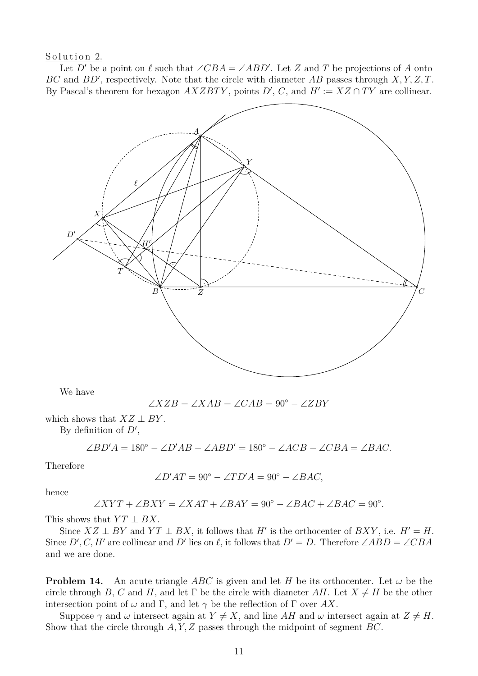Solution 2.

Let *D'* be a point on  $\ell$  such that  $\angle CBA = \angle ABD'$ . Let *Z* and *T* be projections of *A* onto *BC* and *BD*', respectively. Note that the circle with diameter *AB* passes through  $X, Y, Z, T$ . By Pascal's theorem for hexagon  $AXZBTY$ , points  $D'$ ,  $C$ , and  $H' := XZ \cap TY$  are collinear.



We have

$$
\angle XZB = \angle XAB = \angle CAB = 90^{\circ} - \angle ZBY
$$

which shows that  $XZ \perp BY$ .

By definition of  $D'$ ,

 $\angle BD'A = 180^\circ - \angle D'AB - \angle ABD' = 180^\circ - \angle ACB - \angle CBA = \angle BAC$ .

Therefore

$$
\angle D'AT = 90^{\circ} - \angle TD'A = 90^{\circ} - \angle BAC,
$$

hence

$$
\angle XYT + \angle BXY = \angle XAT + \angle BAY = 90^{\circ} - \angle BAC + \angle BAC = 90^{\circ}.
$$

This shows that  $YT \perp BX$ .

Since  $XZ \perp BY$  and  $YT \perp BX$ , it follows that *H'* is the orthocenter of *BXY*, i.e.  $H' = H$ . Since *D'*, *C*, *H'* are collinear and *D'* lies on  $\ell$ , it follows that *D'* = *D*. Therefore ∠*ABD* = ∠*CBA* and we are done.

**Problem 14.** An acute triangle *ABC* is given and let *H* be its orthocenter. Let  $\omega$  be the circle through *B*, *C* and *H*, and let Γ be the circle with diameter *AH*. Let  $X \neq H$  be the other intersection point of  $\omega$  and  $\Gamma$ , and let  $\gamma$  be the reflection of  $\Gamma$  over AX.

Suppose  $\gamma$  and  $\omega$  intersect again at  $Y \neq X$ , and line AH and  $\omega$  intersect again at  $Z \neq H$ . Show that the circle through *A, Y, Z* passes through the midpoint of segment *BC*.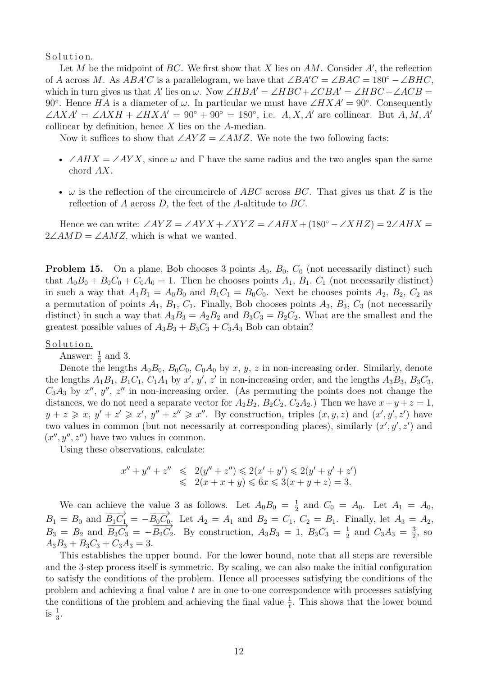#### Solution.

Let  $M$  be the midpoint of  $BC$ . We first show that  $X$  lies on  $AM$ . Consider  $A'$ , the reflection of *A* across *M*. As  $ABA'C$  is a parallelogram, we have that  $\angle BAC = \angle BAC = 180^{\circ} - \angle BHC$ , which in turn gives us that *A'* lies on  $\omega$ . Now ∠*HBA'* = ∠*HBC* + ∠*CBA'* = ∠*HBC* + ∠*ACB* = 90°. Hence *HA* is a diameter of  $\omega$ . In particular we must have  $\angle HXA' = 90^{\circ}$ . Consequently  $∠AXA' = ∠AXH + ∠HXA' = 90° + 90° = 180°$ , i.e. *A, X, A'* are collinear. But *A, M, A'* collinear by definition, hence *X* lies on the *A*-median.

Now it suffices to show that  $\angle AYZ = \angle AMZ$ . We note the two following facts:

- $\angle AHX = \angle AYX$ , since  $\omega$  and  $\Gamma$  have the same radius and the two angles span the same chord *AX*.
- *ω* is the reflection of the circumcircle of *ABC* across *BC*. That gives us that *Z* is the reflection of *A* across *D*, the feet of the *A*-altitude to *BC*.

Hence we can write:  $\angle AYZ = \angle AYX + \angle XYZ = \angle AHX + (180^{\circ} - \angle XHZ) = 2\angle AHX =$  $2\angle AMD = \angle AMZ$ , which is what we wanted.

**Problem 15.** On a plane, Bob chooses 3 points  $A_0$ ,  $B_0$ ,  $C_0$  (not necessarily distinct) such that  $A_0B_0 + B_0C_0 + C_0A_0 = 1$ . Then he chooses points  $A_1$ ,  $B_1$ ,  $C_1$  (not necessarily distinct) in such a way that  $A_1B_1 = A_0B_0$  and  $B_1C_1 = B_0C_0$ . Next he chooses points  $A_2$ ,  $B_2$ ,  $C_2$  as a permutation of points  $A_1$ ,  $B_1$ ,  $C_1$ . Finally, Bob chooses points  $A_3$ ,  $B_3$ ,  $C_3$  (not necessarily distinct) in such a way that  $A_3B_3 = A_2B_2$  and  $B_3C_3 = B_2C_2$ . What are the smallest and the greatest possible values of  $A_3B_3 + B_3C_3 + C_3A_3$  Bob can obtain?

Solution.

Answer:  $\frac{1}{3}$  and 3.

Denote the lengths  $A_0B_0$ ,  $B_0C_0$ ,  $C_0A_0$  by *x*, *y*, *z* in non-increasing order. Similarly, denote the lengths  $A_1B_1$ ,  $B_1C_1$ ,  $C_1A_1$  by  $x'$ ,  $y'$ ,  $z'$  in non-increasing order, and the lengths  $A_3B_3$ ,  $B_3C_3$ ,  $C_3A_3$  by  $x''$ ,  $y''$ ,  $z''$  in non-increasing order. (As permuting the points does not change the distances, we do not need a separate vector for  $A_2B_2$ ,  $B_2C_2$ ,  $C_2A_2$ .) Then we have  $x + y + z = 1$ ,  $y + z \geq x, y' + z' \geq x', y'' + z'' \geq x''$ . By construction, triples  $(x, y, z)$  and  $(x', y', z')$  have two values in common (but not necessarily at corresponding places), similarly  $(x', y', z')$  and  $(x'', y'', z'')$  have two values in common.

Using these observations, calculate:

$$
x'' + y'' + z'' \leq 2(y'' + z'') \leq 2(x' + y') \leq 2(y' + y' + z')
$$
  

$$
\leq 2(x + x + y) \leq 6x \leq 3(x + y + z) = 3.
$$

We can achieve the value 3 as follows. Let  $A_0B_0 = \frac{1}{2}$  $\frac{1}{2}$  and  $C_0 = A_0$ . Let  $A_1 = A_0$ ,  $B_1 = B_0$  and  $\overrightarrow{B_1C_1} = -\overrightarrow{B_0C_0}$ . Let  $A_2 = A_1$  and  $B_2 = C_1$ ,  $C_2 = B_1$ . Finally, let  $A_3 = A_2$ ,  $B_3 = B_2$  and  $\overrightarrow{B_3C_3} = -\overrightarrow{B_2C_2}$ . By construction,  $A_3B_3 = 1$ ,  $B_3C_3 = \frac{1}{2}$  $\frac{1}{2}$  and  $C_3A_3 = \frac{3}{2}$  $\frac{3}{2}$ , so  $A_3B_3 + B_3C_3 + C_3A_3 = 3.$ 

This establishes the upper bound. For the lower bound, note that all steps are reversible and the 3-step process itself is symmetric. By scaling, we can also make the initial configuration to satisfy the conditions of the problem. Hence all processes satisfying the conditions of the problem and achieving a final value *t* are in one-to-one correspondence with processes satisfying the conditions of the problem and achieving the final value  $\frac{1}{t}$ . This shows that the lower bound is  $\frac{1}{3}$ .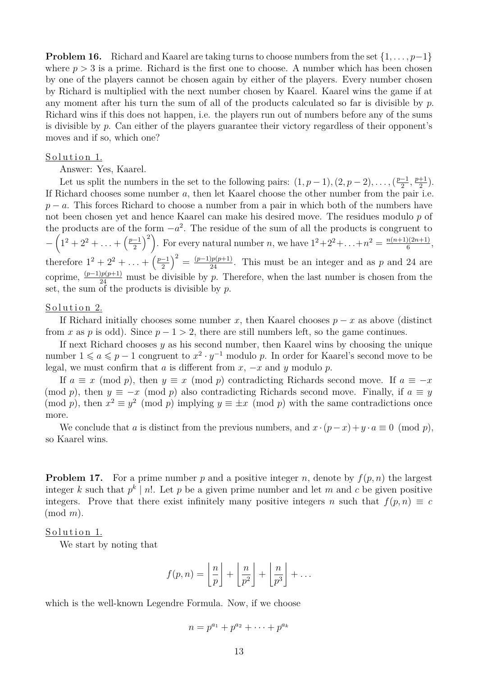**Problem 16.** Richard and Kaarel are taking turns to choose numbers from the set {1*, . . . , p*−1} where  $p > 3$  is a prime. Richard is the first one to choose. A number which has been chosen by one of the players cannot be chosen again by either of the players. Every number chosen by Richard is multiplied with the next number chosen by Kaarel. Kaarel wins the game if at any moment after his turn the sum of all of the products calculated so far is divisible by *p*. Richard wins if this does not happen, i.e. the players run out of numbers before any of the sums is divisible by *p*. Can either of the players guarantee their victory regardless of their opponent's moves and if so, which one?

### Solution 1.

Answer: Yes, Kaarel.

Let us split the numbers in the set to the following pairs:  $(1, p-1), (2, p-2), \ldots, \frac{p-1}{2}$  $\frac{-1}{2}$ ,  $\frac{p+1}{2}$  $\frac{+1}{2}$ ). If Richard chooses some number *a*, then let Kaarel choose the other number from the pair i.e. *p* − *a*. This forces Richard to choose a number from a pair in which both of the numbers have not been chosen yet and hence Kaarel can make his desired move. The residues modulo *p* of the products are of the form  $-a^2$ . The residue of the sum of all the products is congruent to  $-\left(1^2+2^2+\ldots+\left(\frac{p-1}{2}\right)\right]$ 2 <sup>2</sup>. For every natural number *n*, we have  $1^2 + 2^2 + ... + n^2 = \frac{n(n+1)(2n+1)}{6}$  $\frac{f(2n+1)}{6}$ , therefore  $1^2 + 2^2 + \ldots + \left(\frac{p-1}{2}\right)$ 2  $\int_{0}^{2} = \frac{(p-1)p(p+1)}{24}$ . This must be an integer and as *p* and 24 are coprime,  $\frac{(p-1)p(p+1)}{24}$  must be divisible by *p*. Therefore, when the last number is chosen from the set, the sum of the products is divisible by *p*.

## Solution 2.

If Richard initially chooses some number *x*, then Kaarel chooses  $p - x$  as above (distinct from *x* as *p* is odd). Since  $p - 1 > 2$ , there are still numbers left, so the game continues.

If next Richard chooses *y* as his second number, then Kaarel wins by choosing the unique number  $1 \leq a \leq p-1$  congruent to  $x^2 \cdot y^{-1}$  modulo p. In order for Kaarel's second move to be legal, we must confirm that *a* is different from  $x$ ,  $-x$  and  $y$  modulo  $p$ .

If  $a \equiv x \pmod{p}$ , then  $y \equiv x \pmod{p}$  contradicting Richards second move. If  $a \equiv -x$ (mod *p*), then  $y \equiv -x \pmod{p}$  also contradicting Richards second move. Finally, if  $a \equiv y$ (mod *p*), then  $x^2 \equiv y^2 \pmod{p}$  implying  $y \equiv \pm x \pmod{p}$  with the same contradictions once more.

We conclude that *a* is distinct from the previous numbers, and  $x \cdot (p-x) + y \cdot a \equiv 0 \pmod{p}$ , so Kaarel wins.

**Problem 17.** For a prime number  $p$  and a positive integer  $n$ , denote by  $f(p, n)$  the largest integer k such that  $p^k \mid n!$ . Let p be a given prime number and let m and c be given positive integers. Prove that there exist infinitely many positive integers *n* such that  $f(p,n) \equiv c$ (mod *m*).

#### Solution 1.

We start by noting that

$$
f(p,n) = \left\lfloor \frac{n}{p} \right\rfloor + \left\lfloor \frac{n}{p^2} \right\rfloor + \left\lfloor \frac{n}{p^3} \right\rfloor + \dots
$$

which is the well-known Legendre Formula. Now, if we choose

$$
n = p^{a_1} + p^{a_2} + \cdots + p^{a_k}
$$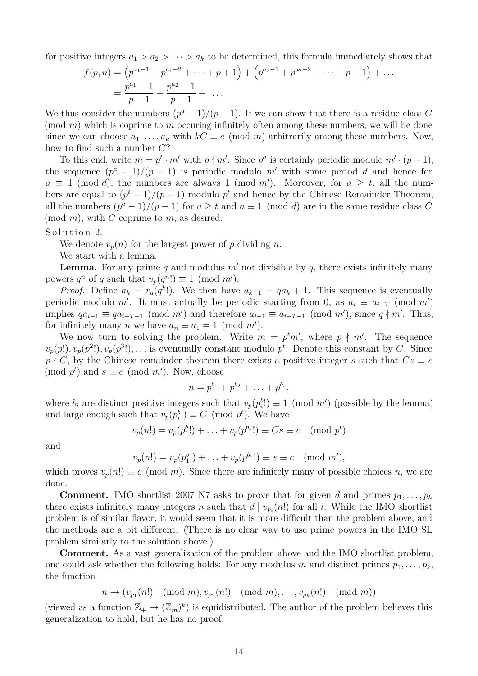for positive integers  $a_1 > a_2 > \cdots > a_k$  to be determined, this formula immediately shows that

$$
f(p,n) = (p^{a_1-1} + p^{a_1-2} + \dots + p + 1) + (p^{a_2-1} + p^{a_2-2} + \dots + p + 1) + \dots
$$
  
= 
$$
\frac{p^{a_1} - 1}{p - 1} + \frac{p^{a_2} - 1}{p - 1} + \dots
$$

We thus consider the numbers  $(p^a - 1)/(p - 1)$ . If we can show that there is a residue class C (mod *m*) which is coprime to *m* occuring infinitely often among these numbers, we will be done since we can choose  $a_1, \ldots, a_k$  with  $kC \equiv c \pmod{m}$  arbitrarily among these numbers. Now, how to find such a number *C*?

To this end, write  $m = p^t \cdot m'$  with  $p \nmid m'$ . Since  $p^a$  is certainly periodic modulo  $m' \cdot (p-1)$ , the sequence  $(p^a - 1)/(p - 1)$  is periodic modulo m' with some period d and hence for  $a \equiv 1 \pmod{d}$ , the numbers are always 1 (mod *m'*). Moreover, for  $a \geq t$ , all the numbers are equal to  $(p<sup>t</sup> - 1)/(p - 1)$  modulo  $p<sup>t</sup>$  and hence by the Chinese Remainder Theorem, all the numbers  $(p^a - 1)/(p - 1)$  for  $a \ge t$  and  $a \equiv 1 \pmod{d}$  are in the same residue class *C* (mod *m*), with *C* coprime to *m*, as desired.

#### Solution 2.

We denote  $v_p(n)$  for the largest power of p dividing n.

We start with a lemma.

**Lemma.** For any prime *q* and modulus  $m'$  not divisible by *q*, there exists infinitely many powers  $q^n$  of q such that  $v_p(q^n!) \equiv 1 \pmod{m'}$ .

*Proof.* Define  $a_k = v_q(q^k!)$ . We then have  $a_{k+1} = qa_k + 1$ . This sequence is eventually periodic modulo *m'*. It must actually be periodic starting from 0, as  $a_i \equiv a_{i+T} \pmod{m'}$ implies  $qa_{i-1} \equiv qa_{i+T-1} \pmod{m'}$  and therefore  $a_{i-1} \equiv a_{i+T-1} \pmod{m'}$ , since  $q \nmid m'$ . Thus, for infinitely many *n* we have  $a_n \equiv a_1 = 1 \pmod{m'}$ .

We now turn to solving the problem. Write  $m = p<sup>t</sup>m'$ , where  $p \nmid m'$ . The sequence  $v_p(p!)$ ,  $v_p(p^2!)$ ,  $v_p(p^3!)$ , ... is eventually constant modulo  $p^t$ . Denote this constant by *C*. Since  $p \nmid C$ , by the Chinese remainder theorem there exists a positive integer *s* such that  $Cs \equiv c$  $(\text{mod } p^t)$  and  $s \equiv c \pmod{m'}$ . Now, choose

$$
n = p^{b_1} + p^{b_2} + \ldots + p^{b_s},
$$

where  $b_i$  are distinct positive integers such that  $v_p(p_i^b) \equiv 1 \pmod{m'}$  (possible by the lemma) and large enough such that  $v_p(p_i^b!) \equiv C \pmod{p^t}$ . We have

$$
v_p(n!) = v_p(p_1^b!) + \ldots + v_p(p^{b_s}!) \equiv Cs \equiv c \pmod{p^t}
$$

and

$$
v_p(n!) = v_p(p_1^b!) + \ldots + v_p(p^{b_s}!) \equiv s \equiv c \pmod{m'},
$$

which proves  $v_p(n!) \equiv c \pmod{m}$ . Since there are infinitely many of possible choices *n*, we are done.

**Comment.** IMO shortlist 2007 N7 asks to prove that for given *d* and primes  $p_1, \ldots, p_k$ there exists infinitely many integers *n* such that  $d | v_{p_i}(n!)$  for all *i*. While the IMO shortlist problem is of similar flavor, it would seem that it is more difficult than the problem above, and the methods are a bit different. (There is no clear way to use prime powers in the IMO SL problem similarly to the solution above.)

**Comment.** As a vast generalization of the problem above and the IMO shortlist problem, one could ask whether the following holds: For any modulus *m* and distinct primes  $p_1, \ldots, p_k$ , the function

$$
n \to (v_{p_1}(n!) \pmod{m}, v_{p_2}(n!) \pmod{m}, \ldots, v_{p_k}(n!) \pmod{m})
$$

(viewed as a function  $\mathbb{Z}_+ \to (\mathbb{Z}_m)^k$ ) is equidistributed. The author of the problem believes this generalization to hold, but he has no proof.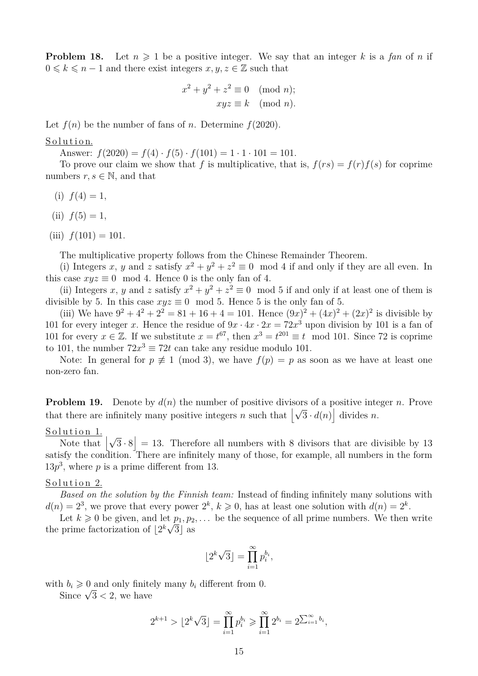**Problem 18.** Let  $n \geq 1$  be a positive integer. We say that an integer k is a fan of n if  $0 \leq k \leq n-1$  and there exist integers  $x, y, z \in \mathbb{Z}$  such that

$$
x2 + y2 + z2 \equiv 0 \pmod{n};
$$
  

$$
xyz \equiv k \pmod{n}.
$$

Let  $f(n)$  be the number of fans of *n*. Determine  $f(2020)$ .

#### Solution.

Answer:  $f(2020) = f(4) \cdot f(5) \cdot f(101) = 1 \cdot 1 \cdot 101 = 101$ .

To prove our claim we show that *f* is multiplicative, that is,  $f(rs) = f(r)f(s)$  for coprime numbers  $r, s \in \mathbb{N}$ , and that

- (i)  $f(4) = 1$ ,
- (ii)  $f(5) = 1$ ,
- (iii)  $f(101) = 101$ .

The multiplicative property follows from the Chinese Remainder Theorem.

(i) Integers *x*, *y* and *z* satisfy  $x^2 + y^2 + z^2 \equiv 0 \mod 4$  if and only if they are all even. In this case  $xyz \equiv 0 \mod 4$ . Hence 0 is the only fan of 4.

(ii) Integers *x*, *y* and *z* satisfy  $x^2 + y^2 + z^2 \equiv 0 \mod 5$  if and only if at least one of them is divisible by 5. In this case  $xyz \equiv 0 \mod 5$ . Hence 5 is the only fan of 5.

(iii) We have  $9^2 + 4^2 + 2^2 = 81 + 16 + 4 = 101$ . Hence  $(9x)^2 + (4x)^2 + (2x)^2$  is divisible by 101 for every integer *x*. Hence the residue of  $9x \cdot 4x \cdot 2x = 72x^3$  upon division by 101 is a fan of 101 for every  $x \in \mathbb{Z}$ . If we substitute  $x = t^{67}$ , then  $x^3 = t^{201} \equiv t \mod 101$ . Since 72 is coprime to 101, the number  $72x^3 \equiv 72t$  can take any residue modulo 101.

Note: In general for  $p \neq 1 \pmod{3}$ , we have  $f(p) = p$  as soon as we have at least one non-zero fan.

**Problem 19.** Denote by  $d(n)$  the number of positive divisors of a positive integer *n*. Prove **that there are infinitely many positive integers** *n* such that  $\left[\sqrt{3} \cdot d(n)\right]$  divides *n*.

#### Solution 1.

 $\frac{1 \text{u} \text{u} \text{u} \text{u}}{1 \text{u} \text{u} \text{u}}$   $\left| \sqrt{3} \cdot 8 \right| = 13$ . Therefore all numbers with 8 divisors that are divisible by 13 satisfy the condition. There are infinitely many of those, for example, all numbers in the form  $13p<sup>3</sup>$ , where *p* is a prime different from 13.

#### Solution 2.

*Based on the solution by the Finnish team:* Instead of finding infinitely many solutions with  $d(n) = 2^3$ , we prove that every power  $2^k$ ,  $k \geq 0$ , has at least one solution with  $d(n) = 2^k$ .

Let  $k \geq 0$  be given, and let  $p_1, p_2, \ldots$  be the sequence of all prime numbers. We then write the prime factorization of  $\lfloor 2^k \sqrt{3} \rfloor$  as

$$
\lfloor 2^k \sqrt{3} \rfloor = \prod_{i=1}^{\infty} p_i^{b_i},
$$

with  $b_i \geq 0$  and only finitely many  $b_i$  different from 0.

n  $o_i \geqslant 0$  and only finite<br>Since  $\sqrt{3}$  < 2, we have

$$
2^{k+1} > \lfloor 2^k \sqrt{3} \rfloor = \prod_{i=1}^{\infty} p_i^{b_i} \ge \prod_{i=1}^{\infty} 2^{b_i} = 2^{\sum_{i=1}^{\infty} b_i},
$$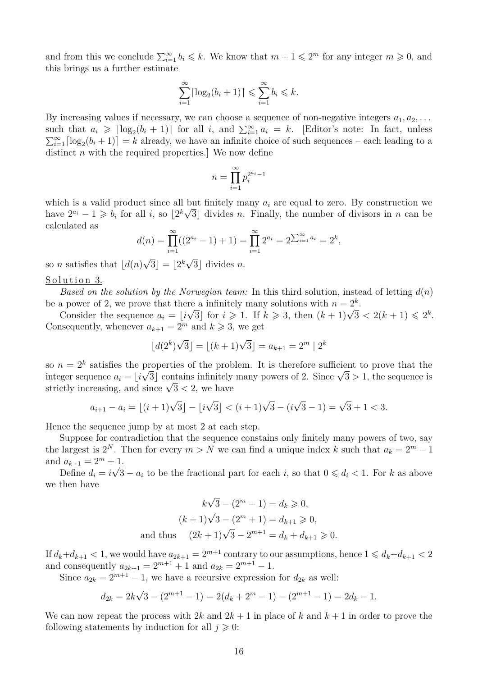and from this we conclude  $\sum_{i=1}^{\infty} b_i \leq k$ . We know that  $m+1 \leq 2^m$  for any integer  $m \geq 0$ , and this brings us a further estimate

$$
\sum_{i=1}^{\infty} \lceil \log_2(b_i + 1) \rceil \leqslant \sum_{i=1}^{\infty} b_i \leqslant k.
$$

By increasing values if necessary, we can choose a sequence of non-negative integers  $a_1, a_2, \ldots$ such that  $a_i \geqslant \lceil \log_2(b_i + 1) \rceil$  for all *i*, and  $\sum_{i=1}^{\infty} a_i = k$ . [Editor's note: In fact, unless  $\sum_{i=1}^{\infty} \lceil \log_2(b_i + 1) \rceil = k$  already, we have an infinite choice of such sequences – each leading to a distinct *n* with the required properties. We now define

$$
n = \prod_{i=1}^{\infty} p_i^{2^{a_i} - 1}
$$

which is a valid product since all but finitely many  $a_i$  are equal to zero. By construction we have  $2^{a_i} - 1 \geq b_i$  for all *i*, so  $\lfloor 2^k \sqrt{3} \rfloor$  divides *n*. Finally, the number of divisors in *n* can be calculated as

$$
d(n) = \prod_{i=1}^{\infty} ((2^{a_i} - 1) + 1) = \prod_{i=1}^{\infty} 2^{a_i} = 2^{\sum_{i=1}^{\infty} a_i} = 2^k,
$$

so *n* satisfies that  $\lfloor d(n) \rfloor$  $\overline{3}$ ] =  $2^k$  $3$  divides *n*.

#### Solution 3.

*Based on the solution by the Norwegian team:* In this third solution, instead of letting *d*(*n*) be a power of 2, we prove that there a infinitely many solutions with  $n = 2^k$ .

a power or *z*, we prove that there a minitely many solutions with  $n = 2$ .<br>Consider the sequence  $a_i = \lfloor i\sqrt{3} \rfloor$  for  $i \ge 1$ . If  $k \ge 3$ , then  $(k+1)\sqrt{3} < 2(k+1) \le 2^k$ . Consequently, whenever  $a_{k+1} = 2^m$  and  $k \geq 3$ , we get

$$
\lfloor d(2^k)\sqrt{3} \rfloor = \lfloor (k+1)\sqrt{3} \rfloor = a_{k+1} = 2^m \mid 2^k
$$

so  $n = 2^k$  satisfies the properties of the problem. It is therefore sufficient to prove that the so  $n = 2$  satisfies the properties of the problem. It is therefore sumplement to prove that the integer sequence  $a_i = \lfloor i\sqrt{3} \rfloor$  contains infinitely many powers of 2. Since  $\sqrt{3} > 1$ , the sequence is integer sequence  $a_i = \lfloor i \sqrt{3} \rfloor$  contains infinitely<br>strictly increasing, and since  $\sqrt{3} < 2$ , we have

$$
a_{i+1} - a_i = \lfloor (i+1)\sqrt{3} \rfloor - \lfloor i\sqrt{3} \rfloor < (i+1)\sqrt{3} - (i\sqrt{3} - 1) = \sqrt{3} + 1 < 3.
$$

Hence the sequence jump by at most 2 at each step.

Suppose for contradiction that the sequence constains only finitely many powers of two, say the largest is  $2^N$ . Then for every  $m > N$  we can find a unique index k such that  $a_k = 2^m - 1$ and  $a_{k+1} = 2^m + 1$ .

Define  $d_i = i$  $\sqrt{3} - a_i$  to be the fractional part for each *i*, so that  $0 \leq d_i < 1$ . For *k* as above we then have

$$
k\sqrt{3} - (2^m - 1) = d_k \ge 0,
$$
  
\n
$$
(k+1)\sqrt{3} - (2^m + 1) = d_{k+1} \ge 0,
$$
  
\nand thus 
$$
(2k+1)\sqrt{3} - 2^{m+1} = d_k + d_{k+1} \ge 0.
$$

If  $d_k + d_{k+1} < 1$ , we would have  $a_{2k+1} = 2^{m+1}$  contrary to our assumptions, hence  $1 \leq d_k + d_{k+1} < 2$ and consequently  $a_{2k+1} = 2^{m+1} + 1$  and  $a_{2k} = 2^{m+1} - 1$ .

Since  $a_{2k} = 2^{m+1} - 1$ , we have a recursive expression for  $d_{2k}$  as well:

$$
d_{2k} = 2k\sqrt{3} - (2^{m+1} - 1) = 2(d_k + 2^m - 1) - (2^{m+1} - 1) = 2d_k - 1.
$$

We can now repeat the process with  $2k$  and  $2k + 1$  in place of k and  $k + 1$  in order to prove the following statements by induction for all  $j \geq 0$ :